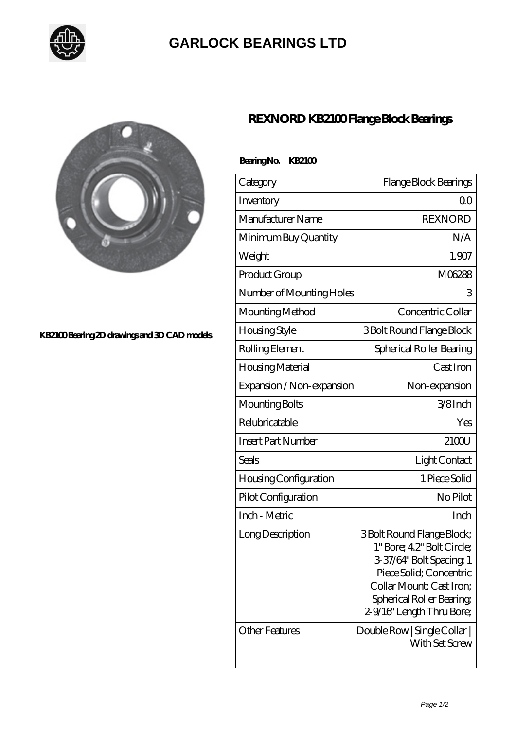

## **[GARLOCK BEARINGS LTD](https://m.letterstopriests.com)**

 **Bearing No. KB2100**



## **[KB2100 Bearing 2D drawings and 3D CAD models](https://m.letterstopriests.com/pic-188837.html)**

## **[REXNORD KB2100 Flange Block Bearings](https://m.letterstopriests.com/bd-188837-rexnord-kb2100-flange-block-bearings.html)**

| Category                 | Flange Block Bearings     |
|--------------------------|---------------------------|
| Inventory                | ()()                      |
| Manufacturer Name        | <b>REXNORD</b>            |
| Minimum Buy Quantity     | N/A                       |
| Weight                   | 1.907                     |
| Product Group            | M06288                    |
| Number of Mounting Holes | 3                         |
| Mounting Method          | Concentric Collar         |
| Housing Style            | 3 Bolt Round Flange Block |
|                          |                           |

| <u>vveigi it</u>          | 1. JU                                                                                                                                                                                               |
|---------------------------|-----------------------------------------------------------------------------------------------------------------------------------------------------------------------------------------------------|
| Product Group             | M06288                                                                                                                                                                                              |
| Number of Mounting Holes  | 3                                                                                                                                                                                                   |
| Mounting Method           | Concentric Collar                                                                                                                                                                                   |
| Housing Style             | 3 Bolt Round Flange Block                                                                                                                                                                           |
| Rolling Element           | Spherical Roller Bearing                                                                                                                                                                            |
| Housing Material          | Cast Iron                                                                                                                                                                                           |
| Expansion / Non-expansion | Non-expansion                                                                                                                                                                                       |
| Mounting Bolts            | 3/8Inch                                                                                                                                                                                             |
| Relubricatable            | Yes                                                                                                                                                                                                 |
| Insert Part Number        | 2100U                                                                                                                                                                                               |
| Seals                     | Light Contact                                                                                                                                                                                       |
| Housing Configuration     | 1 Piece Solid                                                                                                                                                                                       |
| Pilot Configuration       | No Pilot                                                                                                                                                                                            |
| Inch - Metric             | Inch                                                                                                                                                                                                |
| Long Description          | 3 Bolt Round Flange Block;<br>1" Bore; 42" Bolt Circle;<br>3-37/64" Bolt Spacing, 1<br>Piece Solid; Concentric<br>Collar Mount; Cast Iron;<br>Spherical Roller Bearing<br>2-9/16" Length Thru Bore; |
| <b>Other Features</b>     | Double Row   Single Collar  <br>With Set Screw                                                                                                                                                      |
|                           |                                                                                                                                                                                                     |